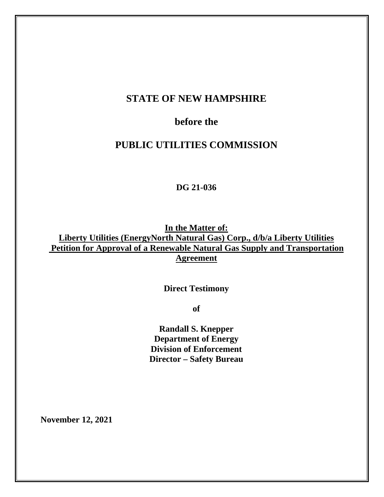## **STATE OF NEW HAMPSHIRE**

## **before the**

## **PUBLIC UTILITIES COMMISSION**

**DG 21-036**

**In the Matter of: Liberty Utilities (EnergyNorth Natural Gas) Corp., d/b/a Liberty Utilities Petition for Approval of a Renewable Natural Gas Supply and Transportation Agreement**

**Direct Testimony**

**of**

**Randall S. Knepper Department of Energy Division of Enforcement Director – Safety Bureau**

**November 12, 2021**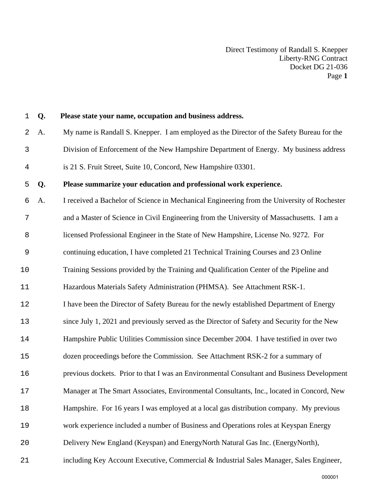| $\mathbf 1$ | Q. | Please state your name, occupation and business address.                                    |
|-------------|----|---------------------------------------------------------------------------------------------|
| 2           | A. | My name is Randall S. Knepper. I am employed as the Director of the Safety Bureau for the   |
| 3           |    | Division of Enforcement of the New Hampshire Department of Energy. My business address      |
| 4           |    | is 21 S. Fruit Street, Suite 10, Concord, New Hampshire 03301.                              |
| 5           | Q. | Please summarize your education and professional work experience.                           |
| 6           | A. | I received a Bachelor of Science in Mechanical Engineering from the University of Rochester |
| 7           |    | and a Master of Science in Civil Engineering from the University of Massachusetts. I am a   |
| 8           |    | licensed Professional Engineer in the State of New Hampshire, License No. 9272. For         |
| 9           |    | continuing education, I have completed 21 Technical Training Courses and 23 Online          |
| 10          |    | Training Sessions provided by the Training and Qualification Center of the Pipeline and     |
| 11          |    | Hazardous Materials Safety Administration (PHMSA). See Attachment RSK-1.                    |
| 12          |    | I have been the Director of Safety Bureau for the newly established Department of Energy    |
| 13          |    | since July 1, 2021 and previously served as the Director of Safety and Security for the New |
| 14          |    | Hampshire Public Utilities Commission since December 2004. I have testified in over two     |
| 15          |    | dozen proceedings before the Commission. See Attachment RSK-2 for a summary of              |
| 16          |    | previous dockets. Prior to that I was an Environmental Consultant and Business Development  |
| 17          |    | Manager at The Smart Associates, Environmental Consultants, Inc., located in Concord, New   |
| 18          |    | Hampshire. For 16 years I was employed at a local gas distribution company. My previous     |
| 19          |    | work experience included a number of Business and Operations roles at Keyspan Energy        |
| 20          |    | Delivery New England (Keyspan) and EnergyNorth Natural Gas Inc. (EnergyNorth),              |
| 21          |    | including Key Account Executive, Commercial & Industrial Sales Manager, Sales Engineer,     |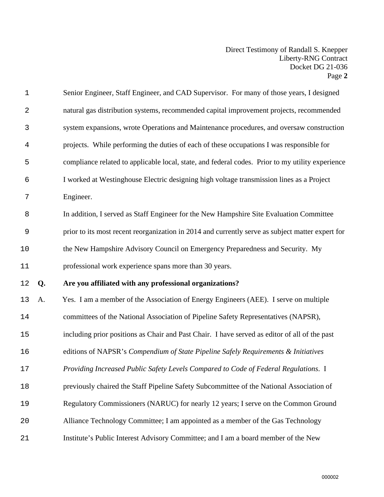| $\mathbf 1$    |    | Senior Engineer, Staff Engineer, and CAD Supervisor. For many of those years, I designed         |
|----------------|----|--------------------------------------------------------------------------------------------------|
| $\sqrt{2}$     |    | natural gas distribution systems, recommended capital improvement projects, recommended          |
| 3              |    | system expansions, wrote Operations and Maintenance procedures, and oversaw construction         |
| $\overline{4}$ |    | projects. While performing the duties of each of these occupations I was responsible for         |
| 5              |    | compliance related to applicable local, state, and federal codes. Prior to my utility experience |
| 6              |    | I worked at Westinghouse Electric designing high voltage transmission lines as a Project         |
| 7              |    | Engineer.                                                                                        |
| 8              |    | In addition, I served as Staff Engineer for the New Hampshire Site Evaluation Committee          |
| $\mathsf 9$    |    | prior to its most recent reorganization in 2014 and currently serve as subject matter expert for |
| 10             |    | the New Hampshire Advisory Council on Emergency Preparedness and Security. My                    |
| 11             |    | professional work experience spans more than 30 years.                                           |
| 12             | Q. | Are you affiliated with any professional organizations?                                          |
| 13             | A. | Yes. I am a member of the Association of Energy Engineers (AEE). I serve on multiple             |
| 14             |    | committees of the National Association of Pipeline Safety Representatives (NAPSR),               |
| 15             |    | including prior positions as Chair and Past Chair. I have served as editor of all of the past    |
| 16             |    | editions of NAPSR's Compendium of State Pipeline Safely Requirements & Initiatives               |
| 17             |    | Providing Increased Public Safety Levels Compared to Code of Federal Regulations. I              |
| 18             |    | previously chaired the Staff Pipeline Safety Subcommittee of the National Association of         |
| 19             |    | Regulatory Commissioners (NARUC) for nearly 12 years; I serve on the Common Ground               |
| 20             |    | Alliance Technology Committee; I am appointed as a member of the Gas Technology                  |
| 21             |    | Institute's Public Interest Advisory Committee; and I am a board member of the New               |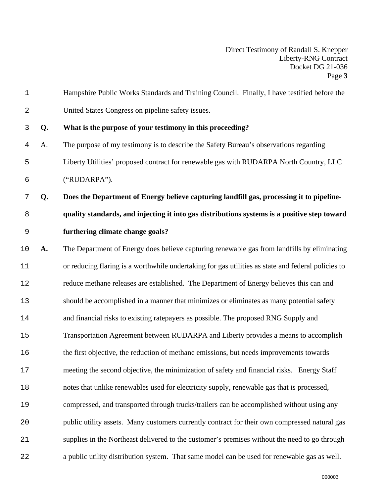| $\mathbf 1$ |    | Hampshire Public Works Standards and Training Council. Finally, I have testified before the        |
|-------------|----|----------------------------------------------------------------------------------------------------|
| 2           |    | United States Congress on pipeline safety issues.                                                  |
| 3           | Q. | What is the purpose of your testimony in this proceeding?                                          |
| 4           | A. | The purpose of my testimony is to describe the Safety Bureau's observations regarding              |
| 5           |    | Liberty Utilities' proposed contract for renewable gas with RUDARPA North Country, LLC             |
| 6           |    | ("RUDARPA").                                                                                       |
| 7           | Q. | Does the Department of Energy believe capturing landfill gas, processing it to pipeline-           |
| 8           |    | quality standards, and injecting it into gas distributions systems is a positive step toward       |
| $\mathsf 9$ |    | furthering climate change goals?                                                                   |
| 10          | A. | The Department of Energy does believe capturing renewable gas from landfills by eliminating        |
| 11          |    | or reducing flaring is a worthwhile undertaking for gas utilities as state and federal policies to |
| 12          |    | reduce methane releases are established. The Department of Energy believes this can and            |
| 13          |    | should be accomplished in a manner that minimizes or eliminates as many potential safety           |
| 14          |    | and financial risks to existing ratepayers as possible. The proposed RNG Supply and                |
| 15          |    | Transportation Agreement between RUDARPA and Liberty provides a means to accomplish                |
| 16          |    | the first objective, the reduction of methane emissions, but needs improvements towards            |
| 17          |    | meeting the second objective, the minimization of safety and financial risks. Energy Staff         |
| 18          |    | notes that unlike renewables used for electricity supply, renewable gas that is processed,         |
| 19          |    | compressed, and transported through trucks/trailers can be accomplished without using any          |
| 20          |    | public utility assets. Many customers currently contract for their own compressed natural gas      |
| 21          |    | supplies in the Northeast delivered to the customer's premises without the need to go through      |
| 22          |    | a public utility distribution system. That same model can be used for renewable gas as well.       |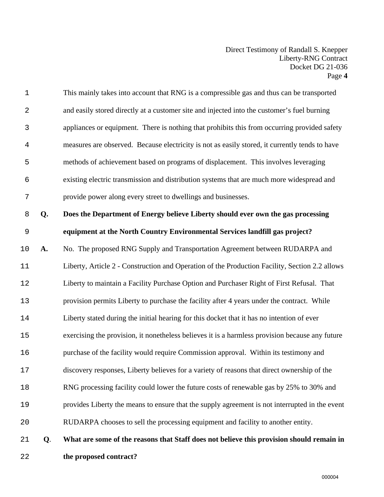| $1\,$          |    | This mainly takes into account that RNG is a compressible gas and thus can be transported       |
|----------------|----|-------------------------------------------------------------------------------------------------|
| $\sqrt{2}$     |    | and easily stored directly at a customer site and injected into the customer's fuel burning     |
| 3              |    | appliances or equipment. There is nothing that prohibits this from occurring provided safety    |
| $\overline{4}$ |    | measures are observed. Because electricity is not as easily stored, it currently tends to have  |
| 5              |    | methods of achievement based on programs of displacement. This involves leveraging              |
| 6              |    | existing electric transmission and distribution systems that are much more widespread and       |
| 7              |    | provide power along every street to dwellings and businesses.                                   |
| $\,8\,$        | Q. | Does the Department of Energy believe Liberty should ever own the gas processing                |
| $\mathsf 9$    |    | equipment at the North Country Environmental Services landfill gas project?                     |
| 10             | A. | No. The proposed RNG Supply and Transportation Agreement between RUDARPA and                    |
| 11             |    | Liberty, Article 2 - Construction and Operation of the Production Facility, Section 2.2 allows  |
| 12             |    | Liberty to maintain a Facility Purchase Option and Purchaser Right of First Refusal. That       |
| 13             |    | provision permits Liberty to purchase the facility after 4 years under the contract. While      |
| 14             |    | Liberty stated during the initial hearing for this docket that it has no intention of ever      |
| 15             |    | exercising the provision, it nonetheless believes it is a harmless provision because any future |
| 16             |    | purchase of the facility would require Commission approval. Within its testimony and            |
| 17             |    | discovery responses, Liberty believes for a variety of reasons that direct ownership of the     |
| 18             |    | RNG processing facility could lower the future costs of renewable gas by 25% to 30% and         |
| 19             |    | provides Liberty the means to ensure that the supply agreement is not interrupted in the event  |
| 20             |    | RUDARPA chooses to sell the processing equipment and facility to another entity.                |
| 21             | Q. | What are some of the reasons that Staff does not believe this provision should remain in        |
|                |    |                                                                                                 |

**the proposed contract?**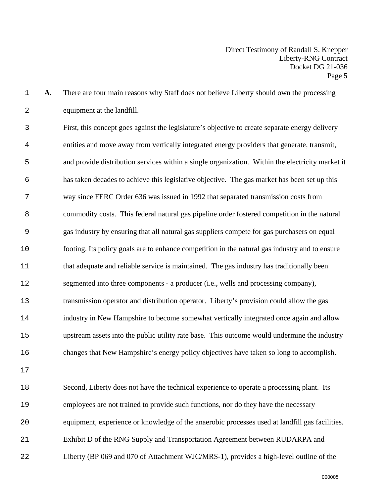**A.** There are four main reasons why Staff does not believe Liberty should own the processing equipment at the landfill.

First, this concept goes against the legislature's objective to create separate energy delivery entities and move away from vertically integrated energy providers that generate, transmit, and provide distribution services within a single organization. Within the electricity market it has taken decades to achieve this legislative objective. The gas market has been set up this way since FERC Order 636 was issued in 1992 that separated transmission costs from commodity costs. This federal natural gas pipeline order fostered competition in the natural gas industry by ensuring that all natural gas suppliers compete for gas purchasers on equal footing. Its policy goals are to enhance competition in the natural gas industry and to ensure that adequate and reliable service is maintained. The gas industry has traditionally been segmented into three components - a producer (i.e., wells and processing company), transmission operator and distribution operator. Liberty's provision could allow the gas industry in New Hampshire to become somewhat vertically integrated once again and allow upstream assets into the public utility rate base. This outcome would undermine the industry changes that New Hampshire's energy policy objectives have taken so long to accomplish.

Second, Liberty does not have the technical experience to operate a processing plant. Its employees are not trained to provide such functions, nor do they have the necessary equipment, experience or knowledge of the anaerobic processes used at landfill gas facilities. Exhibit D of the RNG Supply and Transportation Agreement between RUDARPA and Liberty (BP 069 and 070 of Attachment WJC/MRS-1), provides a high-level outline of the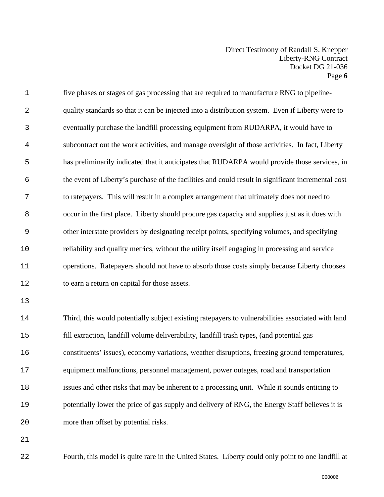five phases or stages of gas processing that are required to manufacture RNG to pipeline-quality standards so that it can be injected into a distribution system. Even if Liberty were to eventually purchase the landfill processing equipment from RUDARPA, it would have to subcontract out the work activities, and manage oversight of those activities. In fact, Liberty has preliminarily indicated that it anticipates that RUDARPA would provide those services, in the event of Liberty's purchase of the facilities and could result in significant incremental cost to ratepayers. This will result in a complex arrangement that ultimately does not need to occur in the first place. Liberty should procure gas capacity and supplies just as it does with other interstate providers by designating receipt points, specifying volumes, and specifying reliability and quality metrics, without the utility itself engaging in processing and service operations. Ratepayers should not have to absorb those costs simply because Liberty chooses to earn a return on capital for those assets. Third, this would potentially subject existing ratepayers to vulnerabilities associated with land

fill extraction, landfill volume deliverability, landfill trash types, (and potential gas constituents' issues), economy variations, weather disruptions, freezing ground temperatures, equipment malfunctions, personnel management, power outages, road and transportation issues and other risks that may be inherent to a processing unit. While it sounds enticing to potentially lower the price of gas supply and delivery of RNG, the Energy Staff believes it is more than offset by potential risks.

Fourth, this model is quite rare in the United States. Liberty could only point to one landfill at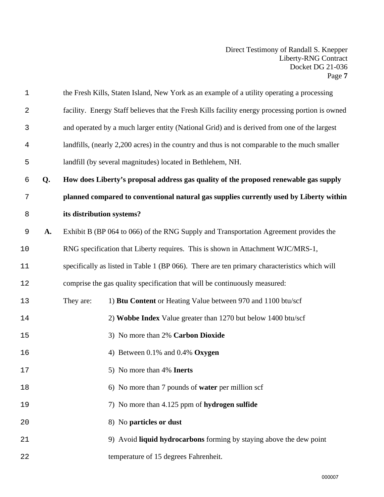| $\mathbf 1$    |    |           | the Fresh Kills, Staten Island, New York as an example of a utility operating a processing       |
|----------------|----|-----------|--------------------------------------------------------------------------------------------------|
| 2              |    |           | facility. Energy Staff believes that the Fresh Kills facility energy processing portion is owned |
| 3              |    |           | and operated by a much larger entity (National Grid) and is derived from one of the largest      |
| $\overline{4}$ |    |           | landfills, (nearly 2,200 acres) in the country and thus is not comparable to the much smaller    |
| 5              |    |           | landfill (by several magnitudes) located in Bethlehem, NH.                                       |
| 6              | Q. |           | How does Liberty's proposal address gas quality of the proposed renewable gas supply             |
| 7              |    |           | planned compared to conventional natural gas supplies currently used by Liberty within           |
| 8              |    |           | its distribution systems?                                                                        |
| $\mathsf 9$    | A. |           | Exhibit B (BP 064 to 066) of the RNG Supply and Transportation Agreement provides the            |
| 10             |    |           | RNG specification that Liberty requires. This is shown in Attachment WJC/MRS-1,                  |
| 11             |    |           | specifically as listed in Table 1 (BP 066). There are ten primary characteristics which will     |
| 12             |    |           | comprise the gas quality specification that will be continuously measured:                       |
| 13             |    | They are: | 1) Btu Content or Heating Value between 970 and 1100 btu/scf                                     |
| 14             |    |           | 2) Wobbe Index Value greater than 1270 but below 1400 btu/scf                                    |
| 15             |    |           | 3) No more than 2% Carbon Dioxide                                                                |
| 16             |    |           | 4) Between 0.1% and 0.4% Oxygen                                                                  |
| 17             |    |           | 5) No more than 4% Inerts                                                                        |
| 18             |    |           | 6) No more than 7 pounds of <b>water</b> per million scf                                         |
| 19             |    |           | 7) No more than 4.125 ppm of hydrogen sulfide                                                    |
| 20             |    |           | 8) No particles or dust                                                                          |
| 21             |    |           | 9) Avoid liquid hydrocarbons forming by staying above the dew point                              |
| 22             |    |           | temperature of 15 degrees Fahrenheit.                                                            |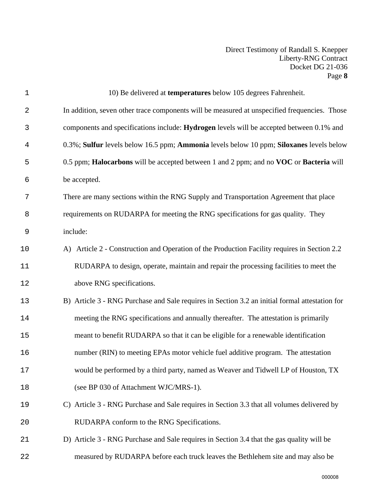| $1\,$          | 10) Be delivered at temperatures below 105 degrees Fahrenheit.                                 |
|----------------|------------------------------------------------------------------------------------------------|
| 2              | In addition, seven other trace components will be measured at unspecified frequencies. Those   |
| 3              | components and specifications include: Hydrogen levels will be accepted between 0.1% and       |
| $\overline{4}$ | 0.3%; Sulfur levels below 16.5 ppm; Ammonia levels below 10 ppm; Siloxanes levels below        |
| 5              | 0.5 ppm; Halocarbons will be accepted between 1 and 2 ppm; and no VOC or Bacteria will         |
| 6              | be accepted.                                                                                   |
| 7              | There are many sections within the RNG Supply and Transportation Agreement that place          |
| 8              | requirements on RUDARPA for meeting the RNG specifications for gas quality. They               |
| 9              | include:                                                                                       |
| 10             | A) Article 2 - Construction and Operation of the Production Facility requires in Section 2.2   |
| 11             | RUDARPA to design, operate, maintain and repair the processing facilities to meet the          |
| 12             | above RNG specifications.                                                                      |
| 13             | B) Article 3 - RNG Purchase and Sale requires in Section 3.2 an initial formal attestation for |
| 14             | meeting the RNG specifications and annually thereafter. The attestation is primarily           |
| 15             | meant to benefit RUDARPA so that it can be eligible for a renewable identification             |
| 16             | number (RIN) to meeting EPAs motor vehicle fuel additive program. The attestation              |
| 17             | would be performed by a third party, named as Weaver and Tidwell LP of Houston, TX             |
| 18             | (see BP 030 of Attachment WJC/MRS-1).                                                          |
| 19             | C) Article 3 - RNG Purchase and Sale requires in Section 3.3 that all volumes delivered by     |
| 20             | RUDARPA conform to the RNG Specifications.                                                     |
| 21             | D) Article 3 - RNG Purchase and Sale requires in Section 3.4 that the gas quality will be      |
| 22             | measured by RUDARPA before each truck leaves the Bethlehem site and may also be                |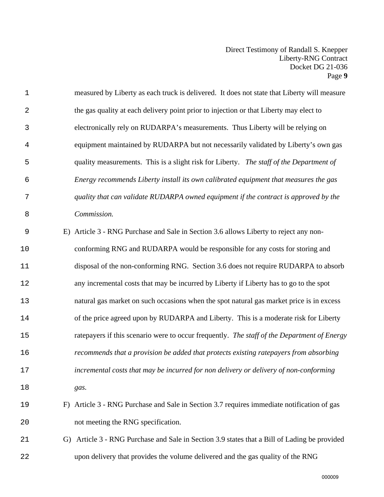| $\mathbf 1$ | measured by Liberty as each truck is delivered. It does not state that Liberty will measure  |
|-------------|----------------------------------------------------------------------------------------------|
| 2           | the gas quality at each delivery point prior to injection or that Liberty may elect to       |
| 3           | electronically rely on RUDARPA's measurements. Thus Liberty will be relying on               |
| 4           | equipment maintained by RUDARPA but not necessarily validated by Liberty's own gas           |
| 5           | quality measurements. This is a slight risk for Liberty. The staff of the Department of      |
| 6           | Energy recommends Liberty install its own calibrated equipment that measures the gas         |
| 7           | quality that can validate RUDARPA owned equipment if the contract is approved by the         |
| 8           | Commission.                                                                                  |
| 9           | E) Article 3 - RNG Purchase and Sale in Section 3.6 allows Liberty to reject any non-        |
| 10          | conforming RNG and RUDARPA would be responsible for any costs for storing and                |
| 11          | disposal of the non-conforming RNG. Section 3.6 does not require RUDARPA to absorb           |
| 12          | any incremental costs that may be incurred by Liberty if Liberty has to go to the spot       |
| 13          | natural gas market on such occasions when the spot natural gas market price is in excess     |
| 14          | of the price agreed upon by RUDARPA and Liberty. This is a moderate risk for Liberty         |
| 15          | ratepayers if this scenario were to occur frequently. The staff of the Department of Energy  |
| 16          | recommends that a provision be added that protects existing ratepayers from absorbing        |
| 17          | incremental costs that may be incurred for non delivery or delivery of non-conforming        |
| 18          | gas.                                                                                         |
| 19          | F) Article 3 - RNG Purchase and Sale in Section 3.7 requires immediate notification of gas   |
| 20          | not meeting the RNG specification.                                                           |
| 21          | G) Article 3 - RNG Purchase and Sale in Section 3.9 states that a Bill of Lading be provided |
| 22          | upon delivery that provides the volume delivered and the gas quality of the RNG              |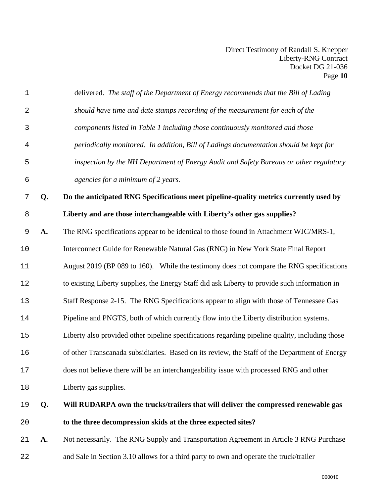| $\mathbf 1$ |    | delivered. The staff of the Department of Energy recommends that the Bill of Lading             |
|-------------|----|-------------------------------------------------------------------------------------------------|
| $\sqrt{2}$  |    | should have time and date stamps recording of the measurement for each of the                   |
| 3           |    | components listed in Table 1 including those continuously monitored and those                   |
| 4           |    | periodically monitored. In addition, Bill of Ladings documentation should be kept for           |
| 5           |    | inspection by the NH Department of Energy Audit and Safety Bureaus or other regulatory          |
| 6           |    | agencies for a minimum of 2 years.                                                              |
| 7           | Q. | Do the anticipated RNG Specifications meet pipeline-quality metrics currently used by           |
| $\,8\,$     |    | Liberty and are those interchangeable with Liberty's other gas supplies?                        |
| 9           | A. | The RNG specifications appear to be identical to those found in Attachment WJC/MRS-1,           |
| 10          |    | Interconnect Guide for Renewable Natural Gas (RNG) in New York State Final Report               |
| 11          |    | August 2019 (BP 089 to 160). While the testimony does not compare the RNG specifications        |
| 12          |    | to existing Liberty supplies, the Energy Staff did ask Liberty to provide such information in   |
| 13          |    | Staff Response 2-15. The RNG Specifications appear to align with those of Tennessee Gas         |
| 14          |    | Pipeline and PNGTS, both of which currently flow into the Liberty distribution systems.         |
| 15          |    | Liberty also provided other pipeline specifications regarding pipeline quality, including those |
| 16          |    | of other Transcanada subsidiaries. Based on its review, the Staff of the Department of Energy   |
| 17          |    | does not believe there will be an interchangeability issue with processed RNG and other         |
| 18          |    | Liberty gas supplies.                                                                           |
| 19          | Q. | Will RUDARPA own the trucks/trailers that will deliver the compressed renewable gas             |
| 20          |    | to the three decompression skids at the three expected sites?                                   |
| 21          | A. | Not necessarily. The RNG Supply and Transportation Agreement in Article 3 RNG Purchase          |
| 22          |    | and Sale in Section 3.10 allows for a third party to own and operate the truck/trailer          |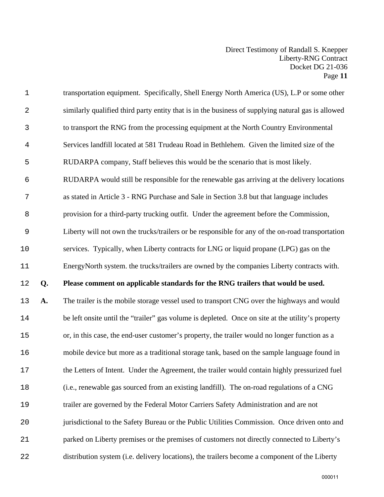| $1\,$          |    | transportation equipment. Specifically, Shell Energy North America (US), L.P or some other         |
|----------------|----|----------------------------------------------------------------------------------------------------|
| $\mathbf{2}$   |    | similarly qualified third party entity that is in the business of supplying natural gas is allowed |
| 3              |    | to transport the RNG from the processing equipment at the North Country Environmental              |
| 4              |    | Services landfill located at 581 Trudeau Road in Bethlehem. Given the limited size of the          |
| 5              |    | RUDARPA company, Staff believes this would be the scenario that is most likely.                    |
| $\epsilon$     |    | RUDARPA would still be responsible for the renewable gas arriving at the delivery locations        |
| $\overline{7}$ |    | as stated in Article 3 - RNG Purchase and Sale in Section 3.8 but that language includes           |
| $\, 8$         |    | provision for a third-party trucking outfit. Under the agreement before the Commission,            |
| $\mathsf 9$    |    | Liberty will not own the trucks/trailers or be responsible for any of the on-road transportation   |
| 10             |    | services. Typically, when Liberty contracts for LNG or liquid propane (LPG) gas on the             |
| 11             |    | EnergyNorth system. the trucks/trailers are owned by the companies Liberty contracts with.         |
|                |    |                                                                                                    |
| $12\,$         | Q. | Please comment on applicable standards for the RNG trailers that would be used.                    |
| 13             | A. | The trailer is the mobile storage vessel used to transport CNG over the highways and would         |
| 14             |    | be left onsite until the "trailer" gas volume is depleted. Once on site at the utility's property  |
| 15             |    | or, in this case, the end-user customer's property, the trailer would no longer function as a      |
| 16             |    | mobile device but more as a traditional storage tank, based on the sample language found in        |
| 17             |    | the Letters of Intent. Under the Agreement, the trailer would contain highly pressurized fuel      |
| 18             |    | (i.e., renewable gas sourced from an existing landfill). The on-road regulations of a CNG          |
| 19             |    | trailer are governed by the Federal Motor Carriers Safety Administration and are not               |
| 20             |    | jurisdictional to the Safety Bureau or the Public Utilities Commission. Once driven onto and       |
| 21             |    | parked on Liberty premises or the premises of customers not directly connected to Liberty's        |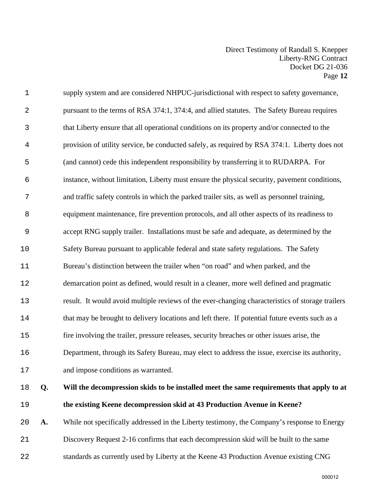| $1\,$          | supply system and are considered NHPUC-jurisdictional with respect to safety governance,         |
|----------------|--------------------------------------------------------------------------------------------------|
| $\overline{2}$ | pursuant to the terms of RSA 374:1, 374:4, and allied statutes. The Safety Bureau requires       |
| $\mathsf 3$    | that Liberty ensure that all operational conditions on its property and/or connected to the      |
| 4              | provision of utility service, be conducted safely, as required by RSA 374:1. Liberty does not    |
| 5              | (and cannot) cede this independent responsibility by transferring it to RUDARPA. For             |
| $\epsilon$     | instance, without limitation, Liberty must ensure the physical security, pavement conditions,    |
| 7              | and traffic safety controls in which the parked trailer sits, as well as personnel training,     |
| 8              | equipment maintenance, fire prevention protocols, and all other aspects of its readiness to      |
| $\mathsf 9$    | accept RNG supply trailer. Installations must be safe and adequate, as determined by the         |
| 10             | Safety Bureau pursuant to applicable federal and state safety regulations. The Safety            |
| 11             | Bureau's distinction between the trailer when "on road" and when parked, and the                 |
| 12             | demarcation point as defined, would result in a cleaner, more well defined and pragmatic         |
| 13             | result. It would avoid multiple reviews of the ever-changing characteristics of storage trailers |
| 14             | that may be brought to delivery locations and left there. If potential future events such as a   |
| 15             | fire involving the trailer, pressure releases, security breaches or other issues arise, the      |
| 16             | Department, through its Safety Bureau, may elect to address the issue, exercise its authority,   |
| 17             | and impose conditions as warranted.                                                              |
|                |                                                                                                  |

- **Q. Will the decompression skids to be installed meet the same requirements that apply to at the existing Keene decompression skid at 43 Production Avenue in Keene?**
- **A.** While not specifically addressed in the Liberty testimony, the Company's response to Energy Discovery Request 2-16 confirms that each decompression skid will be built to the same standards as currently used by Liberty at the Keene 43 Production Avenue existing CNG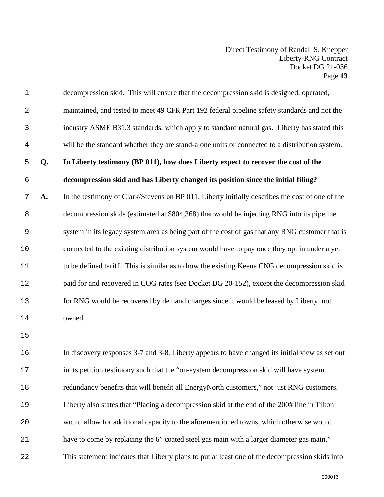| $\mathbf 1$    |    | decompression skid. This will ensure that the decompression skid is designed, operated,         |
|----------------|----|-------------------------------------------------------------------------------------------------|
| 2              |    | maintained, and tested to meet 49 CFR Part 192 federal pipeline safety standards and not the    |
| 3              |    | industry ASME B31.3 standards, which apply to standard natural gas. Liberty has stated this     |
| $\overline{4}$ |    | will be the standard whether they are stand-alone units or connected to a distribution system.  |
| 5              | Q. | In Liberty testimony (BP 011), how does Liberty expect to recover the cost of the               |
| 6              |    | decompression skid and has Liberty changed its position since the initial filing?               |
| 7              | A. | In the testimony of Clark/Stevens on BP 011, Liberty initially describes the cost of one of the |
| 8              |    | decompression skids (estimated at \$804,368) that would be injecting RNG into its pipeline      |
| 9              |    | system in its legacy system area as being part of the cost of gas that any RNG customer that is |
| 10             |    | connected to the existing distribution system would have to pay once they opt in under a yet    |
| 11             |    | to be defined tariff. This is similar as to how the existing Keene CNG decompression skid is    |
| 12             |    | paid for and recovered in COG rates (see Docket DG 20-152), except the decompression skid       |
| 13             |    | for RNG would be recovered by demand charges since it would be leased by Liberty, not           |
| 14             |    | owned.                                                                                          |
| 15             |    |                                                                                                 |
| 16             |    | In discovery responses 3-7 and 3-8, Liberty appears to have changed its initial view as set out |
| 17             |    | in its petition testimony such that the "on-system decompression skid will have system          |
| 18             |    | redundancy benefits that will benefit all EnergyNorth customers," not just RNG customers.       |
| 19             |    | Liberty also states that "Placing a decompression skid at the end of the 200# line in Tilton    |
| 20             |    | would allow for additional capacity to the aforementioned towns, which otherwise would          |
| 21             |    | have to come by replacing the 6" coated steel gas main with a larger diameter gas main."        |
| 22             |    | This statement indicates that Liberty plans to put at least one of the decompression skids into |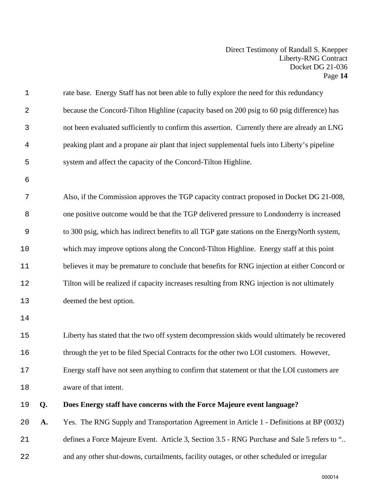| $\mathbf 1$ |    | rate base. Energy Staff has not been able to fully explore the need for this redundancy       |
|-------------|----|-----------------------------------------------------------------------------------------------|
| $\sqrt{2}$  |    | because the Concord-Tilton Highline (capacity based on 200 psig to 60 psig difference) has    |
| 3           |    | not been evaluated sufficiently to confirm this assertion. Currently there are already an LNG |
| 4           |    | peaking plant and a propane air plant that inject supplemental fuels into Liberty's pipeline  |
| 5           |    | system and affect the capacity of the Concord-Tilton Highline.                                |
| 6           |    |                                                                                               |
| 7           |    | Also, if the Commission approves the TGP capacity contract proposed in Docket DG 21-008,      |
| 8           |    | one positive outcome would be that the TGP delivered pressure to Londonderry is increased     |
| 9           |    | to 300 psig, which has indirect benefits to all TGP gate stations on the EnergyNorth system,  |
| 10          |    | which may improve options along the Concord-Tilton Highline. Energy staff at this point       |
| 11          |    | believes it may be premature to conclude that benefits for RNG injection at either Concord or |
| 12          |    | Tilton will be realized if capacity increases resulting from RNG injection is not ultimately  |
| 13          |    | deemed the best option.                                                                       |
| 14          |    |                                                                                               |
| 15          |    | Liberty has stated that the two off system decompression skids would ultimately be recovered  |
| 16          |    | through the yet to be filed Special Contracts for the other two LOI customers. However,       |
| 17          |    | Energy staff have not seen anything to confirm that statement or that the LOI customers are   |
| 18          |    | aware of that intent.                                                                         |
| 19          | Q. | Does Energy staff have concerns with the Force Majeure event language?                        |
| 20          | A. | Yes. The RNG Supply and Transportation Agreement in Article 1 - Definitions at BP (0032)      |
| 21          |    | defines a Force Majeure Event. Article 3, Section 3.5 - RNG Purchase and Sale 5 refers to "   |
| 22          |    | and any other shut-downs, curtailments, facility outages, or other scheduled or irregular     |